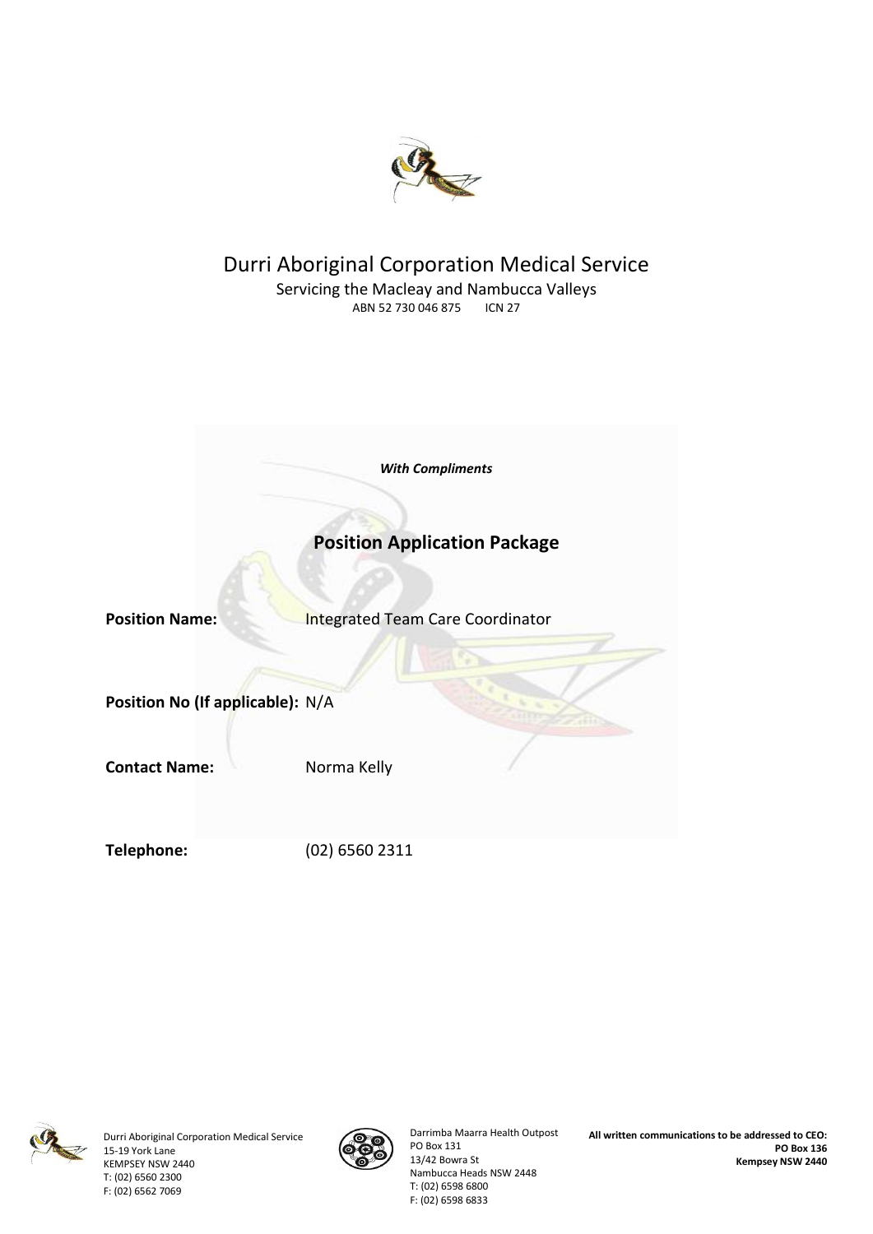

### Durri Aboriginal Corporation Medical Service Servicing the Macleay and Nambucca Valleys<br>ABN 52 730 046 875 ICN 27 ABN 52 730 046 875

|                                  | <b>With Compliments</b>                 |
|----------------------------------|-----------------------------------------|
|                                  | <b>Position Application Package</b>     |
| <b>Position Name:</b>            | <b>Integrated Team Care Coordinator</b> |
| Position No (If applicable): N/A |                                         |
| <b>Contact Name:</b>             | Norma Kelly                             |
| Telephone:                       | (02) 6560 2311                          |



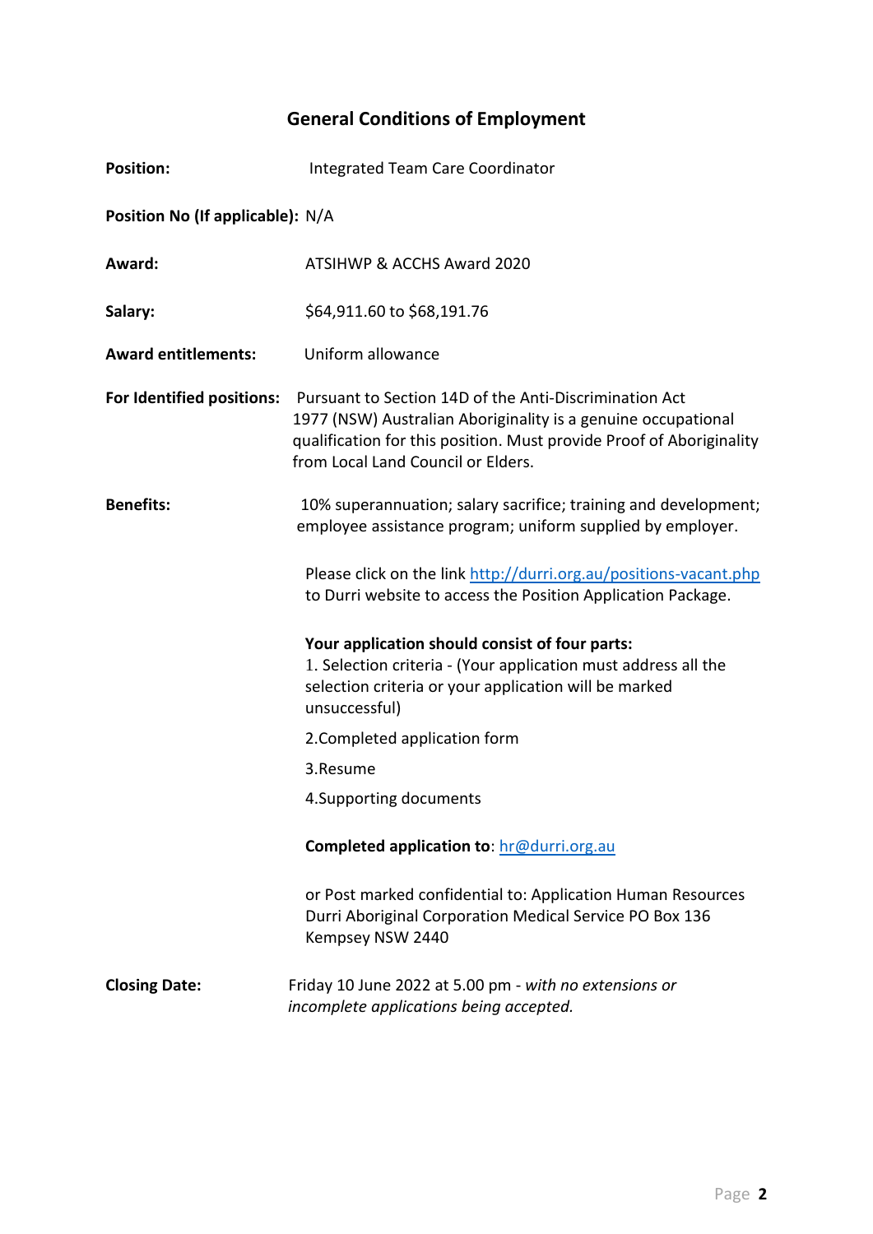# **General Conditions of Employment**

| <b>Position:</b>                 | Integrated Team Care Coordinator                                                                                                                                                                                                      |  |  |  |
|----------------------------------|---------------------------------------------------------------------------------------------------------------------------------------------------------------------------------------------------------------------------------------|--|--|--|
| Position No (If applicable): N/A |                                                                                                                                                                                                                                       |  |  |  |
| Award:                           | ATSIHWP & ACCHS Award 2020                                                                                                                                                                                                            |  |  |  |
| Salary:                          | \$64,911.60 to \$68,191.76                                                                                                                                                                                                            |  |  |  |
| <b>Award entitlements:</b>       | Uniform allowance                                                                                                                                                                                                                     |  |  |  |
| For Identified positions:        | Pursuant to Section 14D of the Anti-Discrimination Act<br>1977 (NSW) Australian Aboriginality is a genuine occupational<br>qualification for this position. Must provide Proof of Aboriginality<br>from Local Land Council or Elders. |  |  |  |
| <b>Benefits:</b>                 | 10% superannuation; salary sacrifice; training and development;<br>employee assistance program; uniform supplied by employer.                                                                                                         |  |  |  |
|                                  | Please click on the link http://durri.org.au/positions-vacant.php<br>to Durri website to access the Position Application Package.                                                                                                     |  |  |  |
|                                  | Your application should consist of four parts:<br>1. Selection criteria - (Your application must address all the<br>selection criteria or your application will be marked<br>unsuccessful)                                            |  |  |  |
|                                  | 2. Completed application form                                                                                                                                                                                                         |  |  |  |
|                                  | 3.Resume                                                                                                                                                                                                                              |  |  |  |
|                                  | 4. Supporting documents                                                                                                                                                                                                               |  |  |  |
|                                  | Completed application to: hr@durri.org.au                                                                                                                                                                                             |  |  |  |
|                                  | or Post marked confidential to: Application Human Resources<br>Durri Aboriginal Corporation Medical Service PO Box 136<br>Kempsey NSW 2440                                                                                            |  |  |  |
| <b>Closing Date:</b>             | Friday 10 June 2022 at 5.00 pm - with no extensions or<br>incomplete applications being accepted.                                                                                                                                     |  |  |  |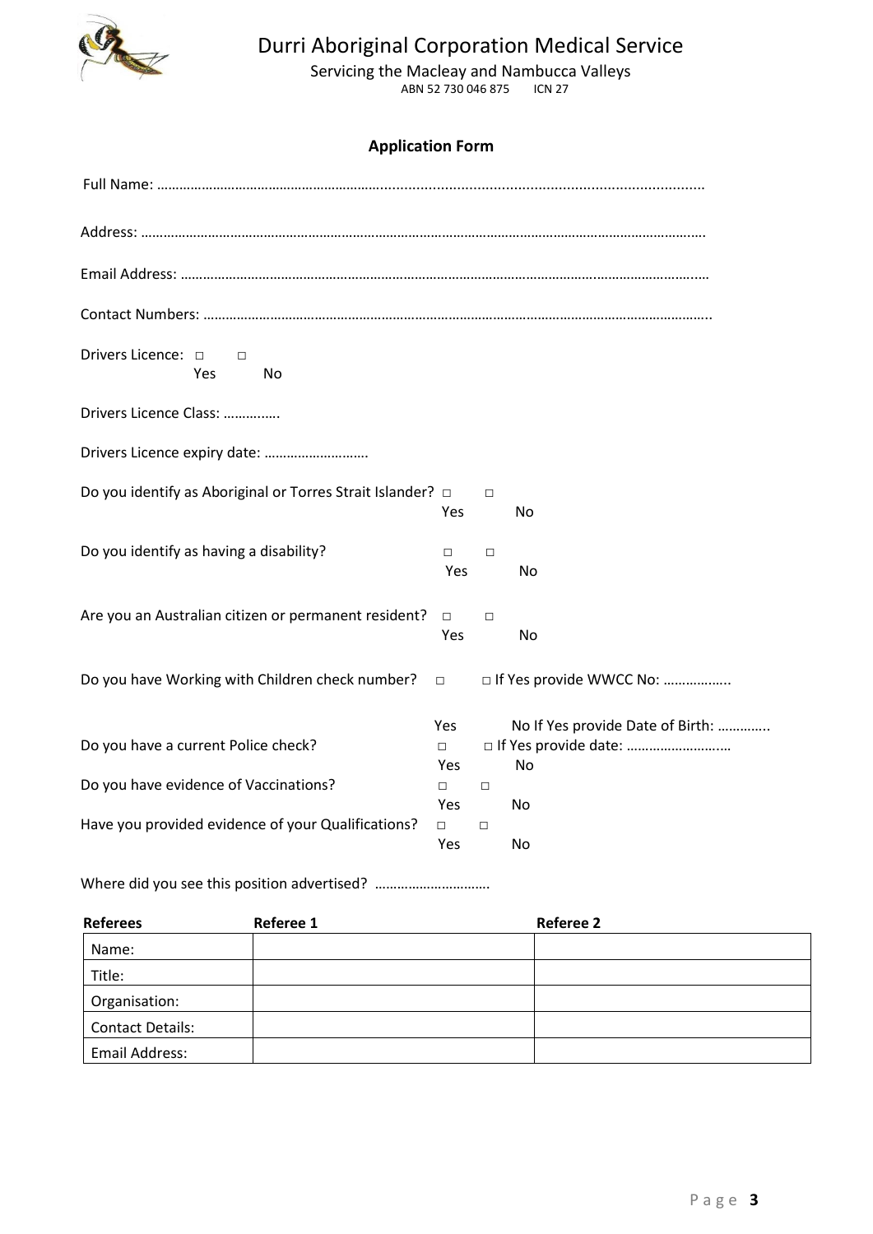

# Durri Aboriginal Corporation Medical Service

Servicing the Macleay and Nambucca Valleys ABN 52 730 046 875 ICN 27

### **Application Form**

| Drivers Licence: 0<br>$\Box$<br>Yes<br>No                       |                             |        |                                        |
|-----------------------------------------------------------------|-----------------------------|--------|----------------------------------------|
| Drivers Licence Class:                                          |                             |        |                                        |
| Drivers Licence expiry date:                                    |                             |        |                                        |
| Do you identify as Aboriginal or Torres Strait Islander? $\Box$ | Yes                         | $\Box$ | No                                     |
| Do you identify as having a disability?                         | $\Box$<br>Yes               | $\Box$ | No                                     |
| Are you an Australian citizen or permanent resident?            | $\Box$<br>Yes               | $\Box$ | No                                     |
| Do you have Working with Children check number?                 | $\Box$                      |        | □ If Yes provide WWCC No:              |
| Do you have a current Police check?                             | Yes<br>$\Box$<br><b>Yes</b> |        | No If Yes provide Date of Birth:<br>No |
| Do you have evidence of Vaccinations?                           | $\Box$<br>Yes               | $\Box$ | No                                     |
| Have you provided evidence of your Qualifications?              | $\Box$<br>Yes               | $\Box$ | No                                     |

Where did you see this position advertised? ………………………………………

| <b>Referees</b>         | Referee 1 | <b>Referee 2</b> |  |
|-------------------------|-----------|------------------|--|
| Name:                   |           |                  |  |
| Title:                  |           |                  |  |
| Organisation:           |           |                  |  |
| <b>Contact Details:</b> |           |                  |  |
| Email Address:          |           |                  |  |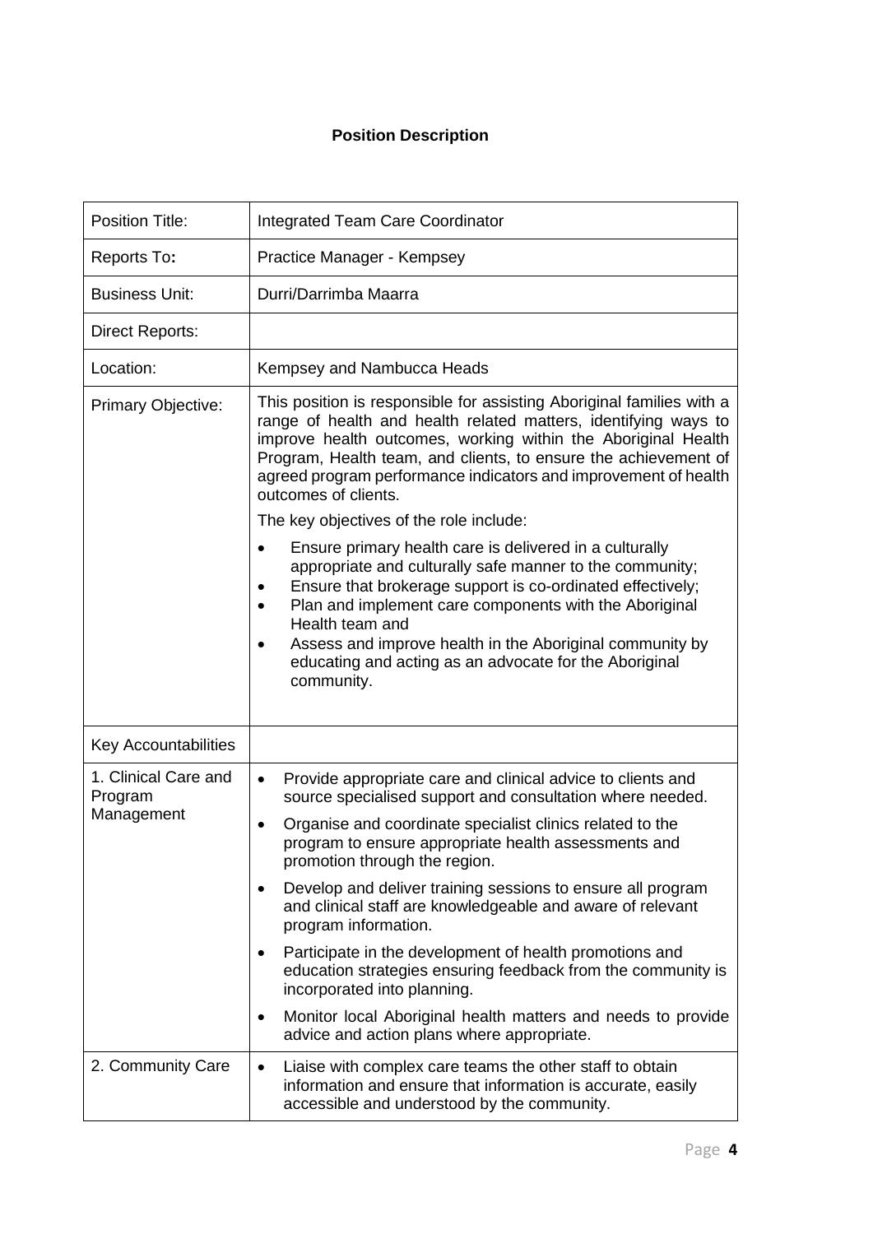### **Position Description**

| <b>Position Title:</b>                        | <b>Integrated Team Care Coordinator</b>                                                                                                                                                                                                                                                                                                                                                                                                                                                    |  |  |
|-----------------------------------------------|--------------------------------------------------------------------------------------------------------------------------------------------------------------------------------------------------------------------------------------------------------------------------------------------------------------------------------------------------------------------------------------------------------------------------------------------------------------------------------------------|--|--|
| Reports To:                                   | Practice Manager - Kempsey                                                                                                                                                                                                                                                                                                                                                                                                                                                                 |  |  |
| <b>Business Unit:</b>                         | Durri/Darrimba Maarra                                                                                                                                                                                                                                                                                                                                                                                                                                                                      |  |  |
| <b>Direct Reports:</b>                        |                                                                                                                                                                                                                                                                                                                                                                                                                                                                                            |  |  |
| Location:                                     | Kempsey and Nambucca Heads                                                                                                                                                                                                                                                                                                                                                                                                                                                                 |  |  |
| Primary Objective:                            | This position is responsible for assisting Aboriginal families with a<br>range of health and health related matters, identifying ways to<br>improve health outcomes, working within the Aboriginal Health<br>Program, Health team, and clients, to ensure the achievement of<br>agreed program performance indicators and improvement of health<br>outcomes of clients.<br>The key objectives of the role include:<br>Ensure primary health care is delivered in a culturally<br>$\bullet$ |  |  |
|                                               | appropriate and culturally safe manner to the community;<br>Ensure that brokerage support is co-ordinated effectively;<br>Plan and implement care components with the Aboriginal<br>$\bullet$<br>Health team and<br>Assess and improve health in the Aboriginal community by<br>educating and acting as an advocate for the Aboriginal<br>community.                                                                                                                                       |  |  |
| <b>Key Accountabilities</b>                   |                                                                                                                                                                                                                                                                                                                                                                                                                                                                                            |  |  |
| 1. Clinical Care and<br>Program<br>Management | Provide appropriate care and clinical advice to clients and<br>$\bullet$<br>source specialised support and consultation where needed.                                                                                                                                                                                                                                                                                                                                                      |  |  |
|                                               | Organise and coordinate specialist clinics related to the<br>$\bullet$<br>program to ensure appropriate health assessments and<br>promotion through the region.                                                                                                                                                                                                                                                                                                                            |  |  |
|                                               | Develop and deliver training sessions to ensure all program<br>$\bullet$<br>and clinical staff are knowledgeable and aware of relevant<br>program information.                                                                                                                                                                                                                                                                                                                             |  |  |
|                                               | Participate in the development of health promotions and<br>٠<br>education strategies ensuring feedback from the community is<br>incorporated into planning.                                                                                                                                                                                                                                                                                                                                |  |  |
|                                               | Monitor local Aboriginal health matters and needs to provide<br>advice and action plans where appropriate.                                                                                                                                                                                                                                                                                                                                                                                 |  |  |
| 2. Community Care                             | Liaise with complex care teams the other staff to obtain<br>$\bullet$<br>information and ensure that information is accurate, easily<br>accessible and understood by the community.                                                                                                                                                                                                                                                                                                        |  |  |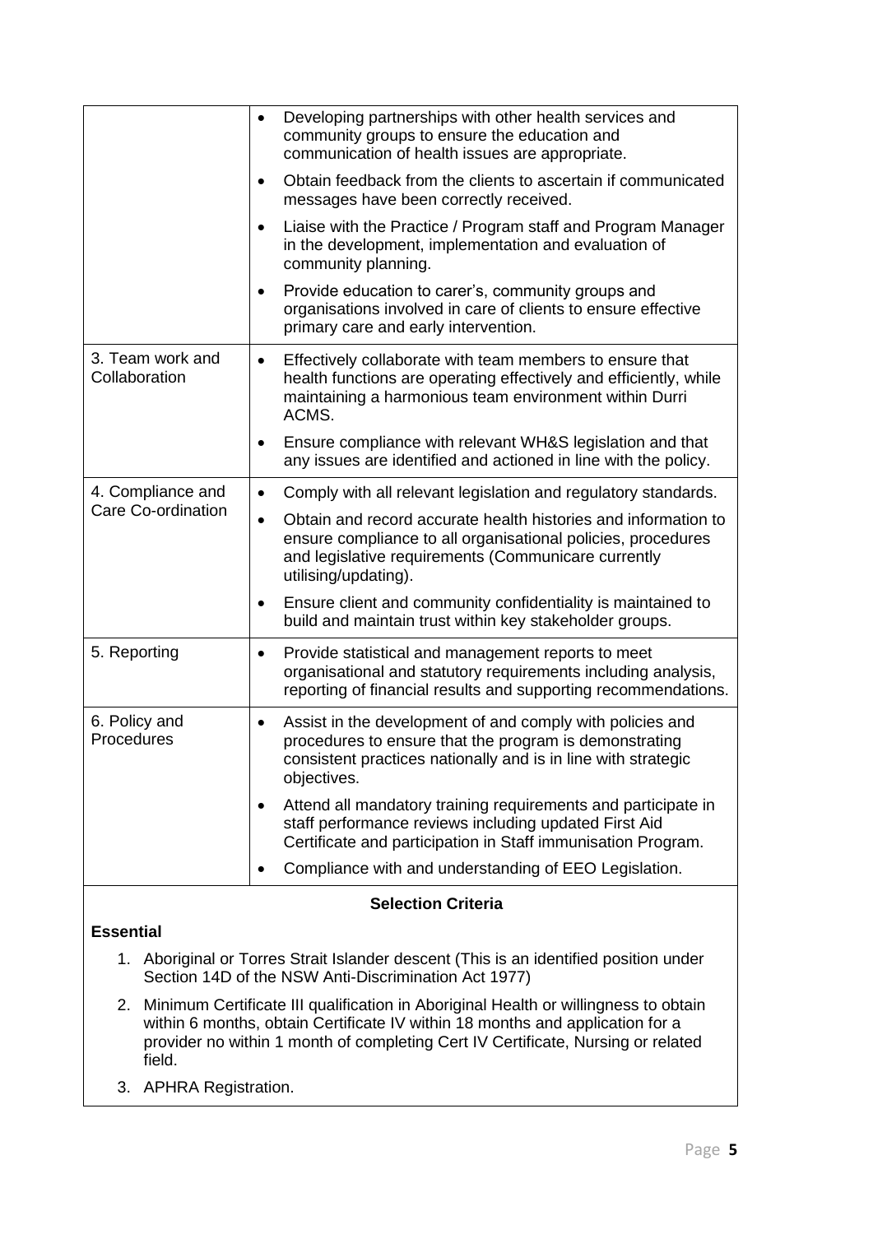|                                                                                                                                                                            | Developing partnerships with other health services and<br>$\bullet$<br>community groups to ensure the education and<br>communication of health issues are appropriate.                                                     |  |  |  |
|----------------------------------------------------------------------------------------------------------------------------------------------------------------------------|----------------------------------------------------------------------------------------------------------------------------------------------------------------------------------------------------------------------------|--|--|--|
|                                                                                                                                                                            | Obtain feedback from the clients to ascertain if communicated<br>$\bullet$<br>messages have been correctly received.                                                                                                       |  |  |  |
|                                                                                                                                                                            | Liaise with the Practice / Program staff and Program Manager<br>$\bullet$<br>in the development, implementation and evaluation of<br>community planning.                                                                   |  |  |  |
|                                                                                                                                                                            | Provide education to carer's, community groups and<br>$\bullet$<br>organisations involved in care of clients to ensure effective<br>primary care and early intervention.                                                   |  |  |  |
| 3. Team work and<br>Collaboration                                                                                                                                          | Effectively collaborate with team members to ensure that<br>$\bullet$<br>health functions are operating effectively and efficiently, while<br>maintaining a harmonious team environment within Durri<br>ACMS.              |  |  |  |
|                                                                                                                                                                            | Ensure compliance with relevant WH&S legislation and that<br>any issues are identified and actioned in line with the policy.                                                                                               |  |  |  |
| 4. Compliance and                                                                                                                                                          | Comply with all relevant legislation and regulatory standards.<br>$\bullet$                                                                                                                                                |  |  |  |
| Care Co-ordination                                                                                                                                                         | Obtain and record accurate health histories and information to<br>$\bullet$<br>ensure compliance to all organisational policies, procedures<br>and legislative requirements (Communicare currently<br>utilising/updating). |  |  |  |
|                                                                                                                                                                            | Ensure client and community confidentiality is maintained to<br>٠<br>build and maintain trust within key stakeholder groups.                                                                                               |  |  |  |
| 5. Reporting                                                                                                                                                               | Provide statistical and management reports to meet<br>organisational and statutory requirements including analysis,<br>reporting of financial results and supporting recommendations.                                      |  |  |  |
| 6. Policy and<br>Procedures                                                                                                                                                | Assist in the development of and comply with policies and<br>$\bullet$<br>procedures to ensure that the program is demonstrating<br>consistent practices nationally and is in line with strategic<br>objectives.           |  |  |  |
|                                                                                                                                                                            | Attend all mandatory training requirements and participate in<br>staff performance reviews including updated First Aid<br>Certificate and participation in Staff immunisation Program.                                     |  |  |  |
|                                                                                                                                                                            | Compliance with and understanding of EEO Legislation.                                                                                                                                                                      |  |  |  |
| <b>Selection Criteria</b>                                                                                                                                                  |                                                                                                                                                                                                                            |  |  |  |
| <b>Essential</b>                                                                                                                                                           |                                                                                                                                                                                                                            |  |  |  |
| 1. Aboriginal or Torres Strait Islander descent (This is an identified position under<br>Section 14D of the NSW Anti-Discrimination Act 1977)                              |                                                                                                                                                                                                                            |  |  |  |
| Minimum Certificate III qualification in Aboriginal Health or willingness to obtain<br>2.<br>within 6 months, obtain Certificate IV within 10 months and application for a |                                                                                                                                                                                                                            |  |  |  |

- within 6 months, obtain Certificate IV within 18 months and application for a provider no within 1 month of completing Cert IV Certificate, Nursing or related field.
- 3. APHRA Registration.